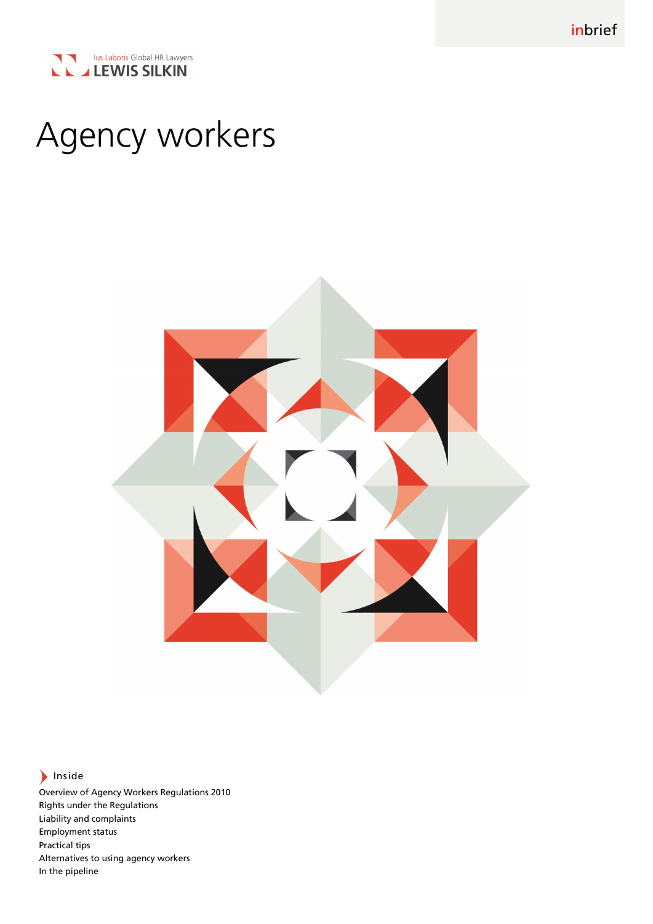inbrief



# Agency workers



# $\blacktriangleright$  Inside

Overview of Agency Workers Regulations 2010 Rights under the Regulations Liability and complaints Employment status Practical tips Alternatives to using agency workers In the pipeline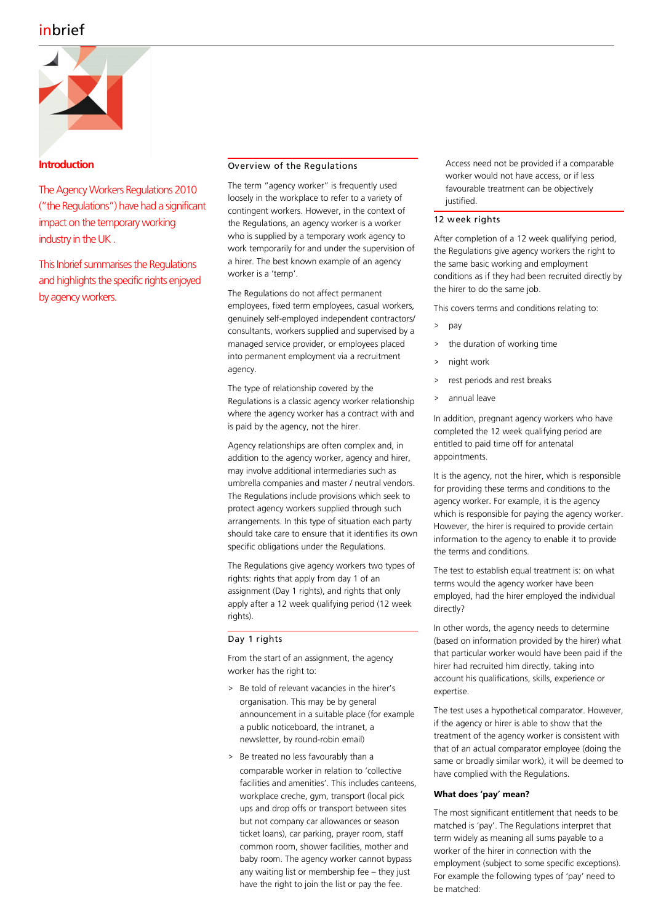# inbrief



# **Introduction**

The Agency Workers Regulations 2010 ("the Regulations") have had a significant impact on the temporary working industry in the UK .

This Inbrief summarises the Regulations and highlights the specific rights enjoyed by agency workers.

# Overview of the Regulations

The term "agency worker" is frequently used loosely in the workplace to refer to a variety of contingent workers. However, in the context of the Regulations, an agency worker is a worker who is supplied by a temporary work agency to work temporarily for and under the supervision of a hirer. The best known example of an agency worker is a 'temp'.

The Regulations do not affect permanent employees, fixed term employees, casual workers, genuinely self-employed independent contractors/ consultants, workers supplied and supervised by a managed service provider, or employees placed into permanent employment via a recruitment agency.

The type of relationship covered by the Regulations is a classic agency worker relationship where the agency worker has a contract with and is paid by the agency, not the hirer.

Agency relationships are often complex and, in addition to the agency worker, agency and hirer, may involve additional intermediaries such as umbrella companies and master / neutral vendors. The Regulations include provisions which seek to protect agency workers supplied through such arrangements. In this type of situation each party should take care to ensure that it identifies its own specific obligations under the Regulations.

The Regulations give agency workers two types of rights: rights that apply from day 1 of an assignment (Day 1 rights), and rights that only apply after a 12 week qualifying period (12 week rights).

## Day 1 rights

From the start of an assignment, the agency worker has the right to:

- > Be told of relevant vacancies in the hirer's organisation. This may be by general announcement in a suitable place (for example a public noticeboard, the intranet, a newsletter, by round-robin email)
- > Be treated no less favourably than a comparable worker in relation to 'collective facilities and amenities'. This includes canteens, workplace creche, gym, transport (local pick ups and drop offs or transport between sites but not company car allowances or season ticket loans), car parking, prayer room, staff common room, shower facilities, mother and baby room. The agency worker cannot bypass any waiting list or membership fee – they just have the right to join the list or pay the fee.

Access need not be provided if a comparable worker would not have access, or if less favourable treatment can be objectively justified.

#### 12 week rights

After completion of a 12 week qualifying period, the Regulations give agency workers the right to the same basic working and employment conditions as if they had been recruited directly by the hirer to do the same job.

This covers terms and conditions relating to:

- > pay
- > the duration of working time
- night work
- rest periods and rest breaks
- > annual leave

In addition, pregnant agency workers who have completed the 12 week qualifying period are entitled to paid time off for antenatal appointments.

It is the agency, not the hirer, which is responsible for providing these terms and conditions to the agency worker. For example, it is the agency which is responsible for paying the agency worker. However, the hirer is required to provide certain information to the agency to enable it to provide the terms and conditions.

The test to establish equal treatment is: on what terms would the agency worker have been employed, had the hirer employed the individual directly?

In other words, the agency needs to determine (based on information provided by the hirer) what that particular worker would have been paid if the hirer had recruited him directly, taking into account his qualifications, skills, experience or expertise.

The test uses a hypothetical comparator. However, if the agency or hirer is able to show that the treatment of the agency worker is consistent with that of an actual comparator employee (doing the same or broadly similar work), it will be deemed to have complied with the Regulations.

## **What does 'pay' mean?**

The most significant entitlement that needs to be matched is 'pay'. The Regulations interpret that term widely as meaning all sums payable to a worker of the hirer in connection with the employment (subject to some specific exceptions). For example the following types of 'pay' need to be matched: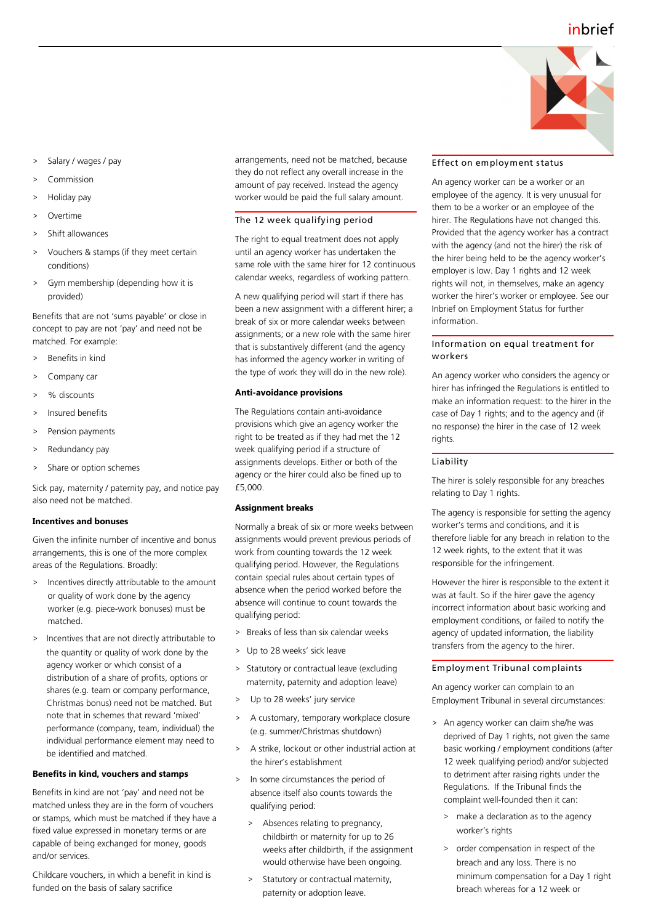

- Salary / wages / pay
- Commission
- Holiday pay
- **Overtime**
- Shift allowances
- > Vouchers & stamps (if they meet certain conditions)
- Gym membership (depending how it is provided)

Benefits that are not 'sums payable' or close in concept to pay are not 'pay' and need not be matched. For example:

- > Benefits in kind
- > Company car
- % discounts
- > Insured benefits
- Pension payments
- Redundancy pay
- Share or option schemes

Sick pay, maternity / paternity pay, and notice pay also need not be matched.

#### **Incentives and bonuses**

Given the infinite number of incentive and bonus arrangements, this is one of the more complex areas of the Regulations. Broadly:

- > Incentives directly attributable to the amount or quality of work done by the agency worker (e.g. piece-work bonuses) must be matched.
- > Incentives that are not directly attributable to the quantity or quality of work done by the agency worker or which consist of a distribution of a share of profits, options or shares (e.g. team or company performance, Christmas bonus) need not be matched. But note that in schemes that reward 'mixed' performance (company, team, individual) the individual performance element may need to be identified and matched.

#### **Benefits in kind, vouchers and stamps**

Benefits in kind are not 'pay' and need not be matched unless they are in the form of vouchers or stamps, which must be matched if they have a fixed value expressed in monetary terms or are capable of being exchanged for money, goods and/or services.

Childcare vouchers, in which a benefit in kind is funded on the basis of salary sacrifice

arrangements, need not be matched, because they do not reflect any overall increase in the amount of pay received. Instead the agency worker would be paid the full salary amount.

#### The 12 week qualifying period

The right to equal treatment does not apply until an agency worker has undertaken the same role with the same hirer for 12 continuous calendar weeks, regardless of working pattern.

A new qualifying period will start if there has been a new assignment with a different hirer; a break of six or more calendar weeks between assignments; or a new role with the same hirer that is substantively different (and the agency has informed the agency worker in writing of the type of work they will do in the new role).

#### **Anti-avoidance provisions**

The Regulations contain anti-avoidance provisions which give an agency worker the right to be treated as if they had met the 12 week qualifying period if a structure of assignments develops. Either or both of the agency or the hirer could also be fined up to £5,000.

#### **Assignment breaks**

Normally a break of six or more weeks between assignments would prevent previous periods of work from counting towards the 12 week qualifying period. However, the Regulations contain special rules about certain types of absence when the period worked before the absence will continue to count towards the qualifying period:

- > Breaks of less than six calendar weeks
- > Up to 28 weeks' sick leave
- > Statutory or contractual leave (excluding maternity, paternity and adoption leave)
- > Up to 28 weeks' jury service
- > A customary, temporary workplace closure (e.g. summer/Christmas shutdown)
- A strike, lockout or other industrial action at the hirer's establishment
- > In some circumstances the period of absence itself also counts towards the qualifying period:
	- > Absences relating to pregnancy, childbirth or maternity for up to 26 weeks after childbirth, if the assignment would otherwise have been ongoing.
	- > Statutory or contractual maternity, paternity or adoption leave.

#### Effect on employment status

An agency worker can be a worker or an employee of the agency. It is very unusual for them to be a worker or an employee of the hirer. The Regulations have not changed this. Provided that the agency worker has a contract with the agency (and not the hirer) the risk of the hirer being held to be the agency worker's employer is low. Day 1 rights and 12 week rights will not, in themselves, make an agency worker the hirer's worker or employee. See our Inbrief on Employment Status for further information.

#### Information on equal treatment for workers

An agency worker who considers the agency or hirer has infringed the Regulations is entitled to make an information request: to the hirer in the case of Day 1 rights; and to the agency and (if no response) the hirer in the case of 12 week rights.

# Liability

The hirer is solely responsible for any breaches relating to Day 1 rights.

The agency is responsible for setting the agency worker's terms and conditions, and it is therefore liable for any breach in relation to the 12 week rights, to the extent that it was responsible for the infringement.

However the hirer is responsible to the extent it was at fault. So if the hirer gave the agency incorrect information about basic working and employment conditions, or failed to notify the agency of updated information, the liability transfers from the agency to the hirer.

#### Employment Tribunal complaints

An agency worker can complain to an Employment Tribunal in several circumstances:

- > An agency worker can claim she/he was deprived of Day 1 rights, not given the same basic working / employment conditions (after 12 week qualifying period) and/or subjected to detriment after raising rights under the Regulations. If the Tribunal finds the complaint well-founded then it can:
	- > make a declaration as to the agency worker's rights
	- > order compensation in respect of the breach and any loss. There is no minimum compensation for a Day 1 right breach whereas for a 12 week or